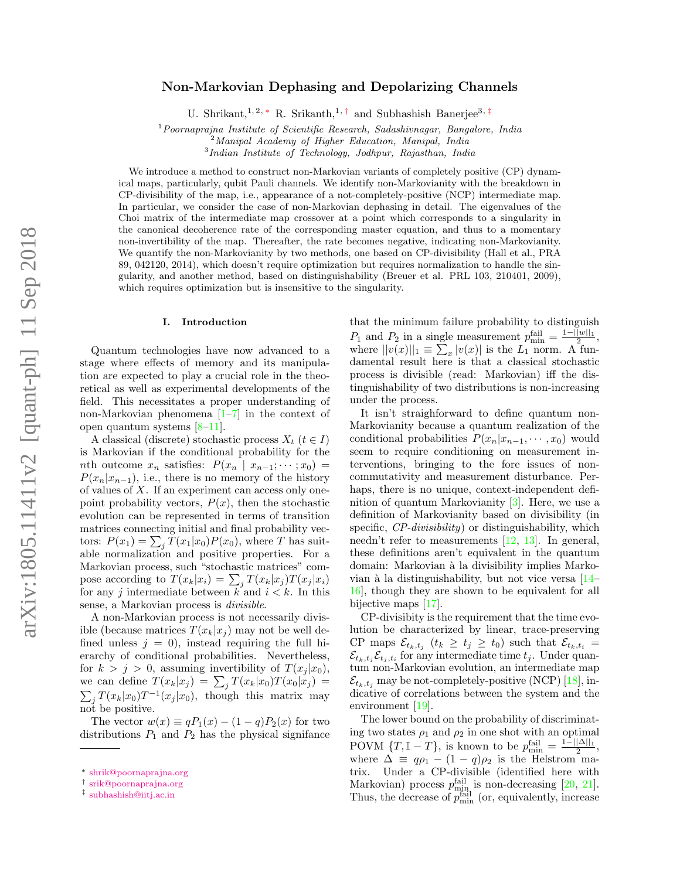# Non-Markovian Dephasing and Depolarizing Channels

U. Shrikant,<sup>1, 2, \*</sup> R. Srikanth,<sup>1,†</sup> and Subhashish Banerjee<sup>3,‡</sup>

 $1$ Poornaprajna Institute of Scientific Research, Sadashivnagar, Bangalore, India

 $^{2}$ Manipal Academy of Higher Education, Manipal, India 3 Indian Institute of Technology, Jodhpur, Rajasthan, India

We introduce a method to construct non-Markovian variants of completely positive (CP) dynamical maps, particularly, qubit Pauli channels. We identify non-Markovianity with the breakdown in CP-divisibility of the map, i.e., appearance of a not-completely-positive (NCP) intermediate map. In particular, we consider the case of non-Markovian dephasing in detail. The eigenvalues of the Choi matrix of the intermediate map crossover at a point which corresponds to a singularity in the canonical decoherence rate of the corresponding master equation, and thus to a momentary non-invertibility of the map. Thereafter, the rate becomes negative, indicating non-Markovianity. We quantify the non-Markovianity by two methods, one based on CP-divisibility (Hall et al., PRA 89, 042120, 2014), which doesn't require optimization but requires normalization to handle the singularity, and another method, based on distinguishability (Breuer et al. PRL 103, 210401, 2009), which requires optimization but is insensitive to the singularity.

## I. Introduction

Quantum technologies have now advanced to a stage where effects of memory and its manipulation are expected to play a crucial role in the theoretical as well as experimental developments of the field. This necessitates a proper understanding of non-Markovian phenomena [1–7] in the context of open quantum systems [8–11].

A classical (discrete) stochastic process  $X_t$  ( $t \in I$ ) is Markovian if the conditional probability for the nth outcome  $x_n$  satisfies:  $P(x_n | x_{n-1}; \dots; x_0) =$  $P(x_n|x_{n-1})$ , i.e., there is no memory of the history of values of  $X$ . If an experiment can access only onepoint probability vectors,  $P(x)$ , then the stochastic evolution can be represented in terms of transition matrices connecting initial and final probability vectors:  $P(x_1) = \sum_j T(x_1|x_0)P(x_0)$ , where T has suitable normalization and positive properties. For a Markovian process, such "stochastic matrices" compose according to  $T(x_k|x_i) = \sum_j T(x_k|x_j)T(x_j|x_i)$ for any j intermediate between  $k$  and  $i < k$ . In this sense, a Markovian process is divisible.

A non-Markovian process is not necessarily divisible (because matrices  $T(x_k|x_i)$  may not be well defined unless  $j = 0$ , instead requiring the full hierarchy of conditional probabilities. Nevertheless, for  $k > j > 0$ , assuming invertibility of  $T(x_i | x_0)$ , we can define  $T(x_k|x_j) = \sum_j T(x_k|x_0)T(x_0|x_j) =$  $\sum_j T(x_k|x_0)T^{-1}(x_j|x_0)$ , though this matrix may not be positive.

The vector  $w(x) \equiv qP_1(x) - (1-q)P_2(x)$  for two distributions  $P_1$  and  $P_2$  has the physical signifance that the minimum failure probability to distinguish  $P_1$  and  $P_2$  in a single measurement  $p_{\min}^{\text{fail}} = \frac{1 - ||w||_1}{2}$ , where  $||v(x)||_1 \equiv \sum_x |v(x)|$  is the  $L_1$  norm. A fundamental result here is that a classical stochastic process is divisible (read: Markovian) iff the distinguishability of two distributions is non-increasing under the process.

It isn't straighforward to define quantum non-Markovianity because a quantum realization of the conditional probabilities  $P(x_n|x_{n-1}, \dots, x_0)$  would seem to require conditioning on measurement interventions, bringing to the fore issues of noncommutativity and measurement disturbance. Perhaps, there is no unique, context-independent definition of quantum Markovianity [3]. Here, we use a definition of Markovianity based on divisibility (in specific, CP-divisibility) or distinguishability, which needn't refer to measurements  $[12, 13]$ . In general, these definitions aren't equivalent in the quantum domain: Markovian à la divisibility implies Markovian à la distinguishability, but not vice versa  $[14-$ 16], though they are shown to be equivalent for all bijective maps [17].

CP-divisibity is the requirement that the time evolution be characterized by linear, trace-preserving CP maps  $\mathcal{E}_{t_k,t_j}$   $(t_k \geq t_j \geq t_0)$  such that  $\mathcal{E}_{t_k,t_i}$  =  $\mathcal{E}_{t_k,t_j} \mathcal{E}_{t_j,t_i}$  for any intermediate time  $t_j$ . Under quantum non-Markovian evolution, an intermediate map  $\mathcal{E}_{t_k,t_j}$  may be not-completely-positive (NCP) [18], indicative of correlations between the system and the environment [19].

The lower bound on the probability of discriminating two states  $\rho_1$  and  $\rho_2$  in one shot with an optimal POVM  $\{T, \mathbb{I} - T\}$ , is known to be  $p_{\min}^{\text{fail}} = \frac{1 - ||\Delta||_1}{2}$ , where  $\Delta \equiv q\rho_1 - (1-q)\rho_2$  is the Helstrom matrix. Under a CP-divisible (identified here with Markovian) process  $p_{\min}^{\text{fail}}$  is non-decreasing [20, 21]. Thus, the decrease of  $\overline{p}_{\min}^{\text{fail}}$  (or, equivalently, increase

<sup>∗</sup> shrik@poornaprajna.org

<sup>†</sup> srik@poornaprajna.org

<sup>‡</sup> subhashish@iitj.ac.in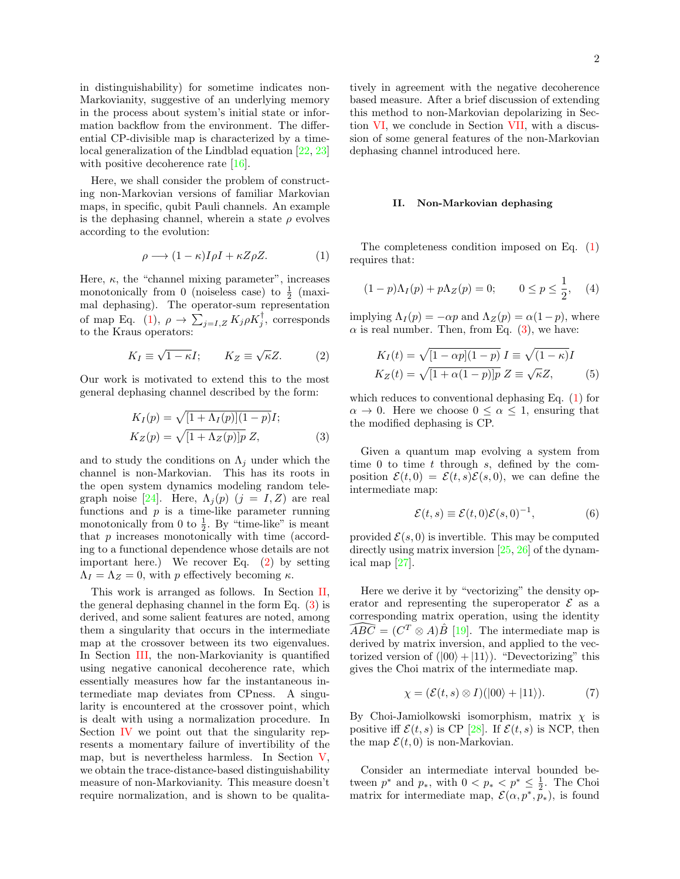in distinguishability) for sometime indicates non-Markovianity, suggestive of an underlying memory in the process about system's initial state or information backflow from the environment. The differential CP-divisible map is characterized by a timelocal generalization of the Lindblad equation [22, 23] with positive decoherence rate [16].

Here, we shall consider the problem of constructing non-Markovian versions of familiar Markovian maps, in specific, qubit Pauli channels. An example is the dephasing channel, wherein a state  $\rho$  evolves according to the evolution:

$$
\rho \longrightarrow (1 - \kappa)I\rho I + \kappa Z\rho Z. \tag{1}
$$

Here,  $\kappa$ , the "channel mixing parameter", increases monotonically from 0 (noiseless case) to  $\frac{1}{2}$  (maximal dephasing). The operator-sum representation of map Eq. (1),  $\rho \to \sum_{j=I,Z} K_j \rho K_j^{\dagger}$ , corresponds to the Kraus operators:

$$
K_I \equiv \sqrt{1 - \kappa} I; \qquad K_Z \equiv \sqrt{\kappa} Z. \tag{2}
$$

Our work is motivated to extend this to the most general dephasing channel described by the form:

$$
K_I(p) = \sqrt{[1 + \Lambda_I(p)](1 - p)}I;
$$
  
\n
$$
K_Z(p) = \sqrt{[1 + \Lambda_Z(p)]p} Z,
$$
\n(3)

and to study the conditions on  $\Lambda_i$  under which the channel is non-Markovian. This has its roots in the open system dynamics modeling random telegraph noise [24]. Here,  $\Lambda_j(p)$  ( $j = I, Z$ ) are real functions and  $p$  is a time-like parameter running monotonically from 0 to  $\frac{1}{2}$ . By "time-like" is meant that p increases monotonically with time (according to a functional dependence whose details are not important here.) We recover Eq. (2) by setting  $\Lambda_I = \Lambda_Z = 0$ , with p effectively becoming κ.

This work is arranged as follows. In Section II, the general dephasing channel in the form Eq. (3) is derived, and some salient features are noted, among them a singularity that occurs in the intermediate map at the crossover between its two eigenvalues. In Section III, the non-Markovianity is quantified using negative canonical decoherence rate, which essentially measures how far the instantaneous intermediate map deviates from CPness. A singularity is encountered at the crossover point, which is dealt with using a normalization procedure. In Section IV we point out that the singularity represents a momentary failure of invertibility of the map, but is nevertheless harmless. In Section V, we obtain the trace-distance-based distinguishability measure of non-Markovianity. This measure doesn't require normalization, and is shown to be qualitatively in agreement with the negative decoherence based measure. After a brief discussion of extending this method to non-Markovian depolarizing in Section VI, we conclude in Section VII, with a discussion of some general features of the non-Markovian dephasing channel introduced here.

## II. Non-Markovian dephasing

The completeness condition imposed on Eq. (1) requires that:

$$
(1 - p)\Lambda_I(p) + p\Lambda_Z(p) = 0; \qquad 0 \le p \le \frac{1}{2}, \quad (4)
$$

implying  $\Lambda_I(p) = -\alpha p$  and  $\Lambda_Z(p) = \alpha(1-p)$ , where  $\alpha$  is real number. Then, from Eq. (3), we have:

$$
K_I(t) = \sqrt{[1 - \alpha p](1 - p)} I \equiv \sqrt{(1 - \kappa)} I
$$
  
\n
$$
K_Z(t) = \sqrt{[1 + \alpha(1 - p)]p} Z \equiv \sqrt{\kappa} Z,
$$
\n(5)

which reduces to conventional dephasing Eq. (1) for  $\alpha \to 0$ . Here we choose  $0 \leq \alpha \leq 1$ , ensuring that the modified dephasing is CP.

Given a quantum map evolving a system from time 0 to time  $t$  through  $s$ , defined by the composition  $\mathcal{E}(t, 0) = \mathcal{E}(t, s)\mathcal{E}(s, 0)$ , we can define the intermediate map:

$$
\mathcal{E}(t,s) \equiv \mathcal{E}(t,0)\mathcal{E}(s,0)^{-1},\tag{6}
$$

provided  $\mathcal{E}(s, 0)$  is invertible. This may be computed directly using matrix inversion  $[25, 26]$  of the dynamical map [27].

Here we derive it by "vectorizing" the density operator and representing the superoperator  $\mathcal E$  as a corresponding matrix operation, using the identity  $\widehat{ABC} = (C^T \otimes A)\widehat{B}$  [19]. The intermediate map is derived by matrix inversion, and applied to the vectorized version of  $(|00\rangle + |11\rangle)$ . "Devectorizing" this gives the Choi matrix of the intermediate map.

$$
\chi = (\mathcal{E}(t, s) \otimes I)(|00\rangle + |11\rangle). \tag{7}
$$

By Choi-Jamiolkowski isomorphism, matrix  $\chi$  is positive iff  $\mathcal{E}(t,s)$  is CP [28]. If  $\mathcal{E}(t,s)$  is NCP, then the map  $\mathcal{E}(t, 0)$  is non-Markovian.

Consider an intermediate interval bounded between  $p^*$  and  $p_*$ , with  $0 < p_* < p^* \leq \frac{1}{2}$ . The Choi matrix for intermediate map,  $\mathcal{E}(\alpha, p^*, p_*)$ , is found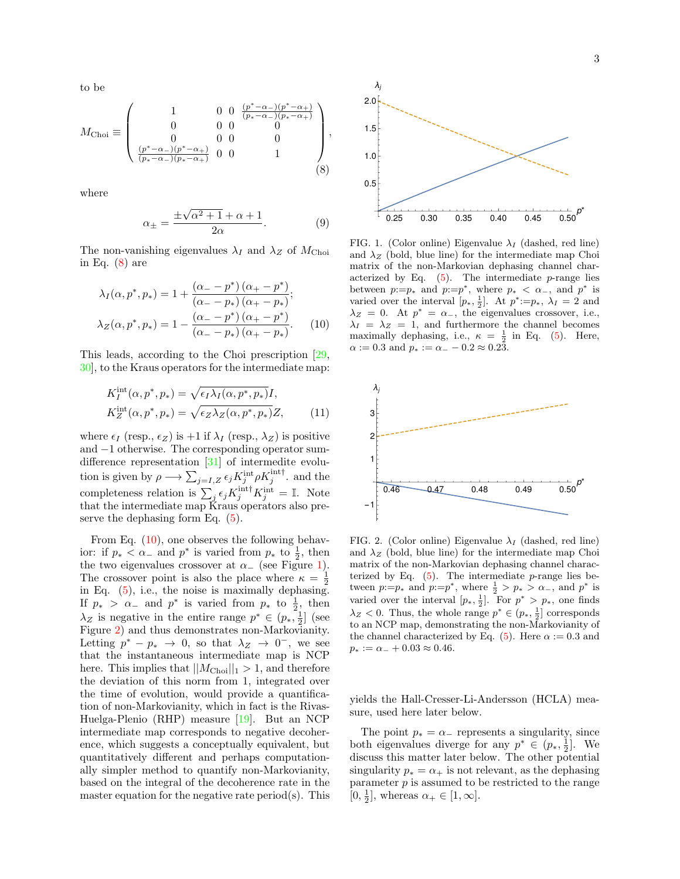to be

$$
M_{\rm Choi} \equiv \left(\begin{array}{cccc} 1 & 0 & 0 & \frac{(p^*-\alpha_-)(p^*-\alpha_+)}{(p_*-\alpha_-)(p_*-\alpha_+)} \\ 0 & 0 & 0 & 0 \\ 0 & 0 & 0 & 0 \\ \frac{(p^*-\alpha_-)(p^*-\alpha_+)}{(p_*-\alpha_-)(p_*-\alpha_+)} & 0 & 0 & 1 \end{array}\right), \eqno(8)
$$

where

$$
\alpha_{\pm} = \frac{\pm\sqrt{\alpha^2 + 1} + \alpha + 1}{2\alpha}.\tag{9}
$$

The non-vanishing eigenvalues  $\lambda_I$  and  $\lambda_Z$  of  $M_{\text{Choi}}$ in Eq.  $(8)$  are

$$
\lambda_I(\alpha, p^*, p_*) = 1 + \frac{(\alpha - p^*) (\alpha_+ - p^*)}{(\alpha_- - p_*) (\alpha_+ - p_*)};
$$
  

$$
\lambda_Z(\alpha, p^*, p_*) = 1 - \frac{(\alpha_+ - p^*) (\alpha_+ - p^*)}{(\alpha_- - p_*) (\alpha_+ - p_*)}.
$$
 (10)

This leads, according to the Choi prescription [29, 30], to the Kraus operators for the intermediate map:

$$
K_I^{\text{int}}(\alpha, p^*, p_*) = \sqrt{\epsilon_I \lambda_I(\alpha, p^*, p_*)} I,
$$
  
\n
$$
K_Z^{\text{int}}(\alpha, p^*, p_*) = \sqrt{\epsilon_Z \lambda_Z(\alpha, p^*, p_*)} Z,
$$
\n(11)

where  $\epsilon_I$  (resp.,  $\epsilon_Z$ ) is +1 if  $\lambda_I$  (resp.,  $\lambda_Z$ ) is positive and −1 otherwise. The corresponding operator sumdifference representation [31] of intermedite evolution is given by  $\rho \longrightarrow \sum_{j=I,Z} \epsilon_j K_j^{\text{int}} \rho K_j^{\text{int} \dagger}$ . and the completeness relation is  $\sum_j \epsilon_j K_j^{\text{int} \dagger} K_j^{\text{int}} = \mathbb{I}$ . Note that the intermediate map Kraus operators also preserve the dephasing form Eq. (5).

From Eq.  $(10)$ , one observes the following behavior: if  $p_* < \alpha_-$  and  $p^*$  is varied from  $p_*$  to  $\frac{1}{2}$ , then the two eigenvalues crossover at  $\alpha_{-}$  (see Figure 1). The crossover point is also the place where  $\kappa = \frac{1}{2}$ in Eq. (5), i.e., the noise is maximally dephasing. If  $p_* > \alpha_-$  and  $p^*$  is varied from  $p_*$  to  $\frac{1}{2}$ , then  $\lambda_Z$  is negative in the entire range  $p^* \in (p_*, \frac{1}{2}]$  (see Figure 2) and thus demonstrates non-Markovianity. Letting  $p^* - p_* \to 0$ , so that  $\lambda_Z \to 0^-$ , we see that the instantaneous intermediate map is NCP here. This implies that  $||M_{\text{Choi}}||_1 > 1$ , and therefore the deviation of this norm from 1, integrated over the time of evolution, would provide a quantification of non-Markovianity, which in fact is the Rivas-Huelga-Plenio (RHP) measure [19]. But an NCP intermediate map corresponds to negative decoherence, which suggests a conceptually equivalent, but quantitatively different and perhaps computationally simpler method to quantify non-Markovianity, based on the integral of the decoherence rate in the master equation for the negative rate period(s). This



FIG. 1. (Color online) Eigenvalue  $\lambda_I$  (dashed, red line) and  $\lambda_Z$  (bold, blue line) for the intermediate map Choi matrix of the non-Markovian dephasing channel characterized by Eq.  $(5)$ . The intermediate *p*-range lies between  $p:=p_*$  and  $p:=p^*$ , where  $p_* < \alpha_-$ , and  $p^*$  is varied over the interval  $[p_*, \frac{1}{2}]$ . At  $p^* := p_*, \lambda_I = 2$  and  $\lambda_Z = 0$ . At  $p^* = \alpha_-,$  the eigenvalues crossover, i.e.,  $\lambda_I = \lambda_Z = 1$ , and furthermore the channel becomes maximally dephasing, i.e.,  $\kappa = \frac{1}{2}$  in Eq. (5). Here,  $\alpha := 0.3$  and  $p_* := \alpha_- - 0.2 \approx 0.2\overline{3}$ .



FIG. 2. (Color online) Eigenvalue  $\lambda_I$  (dashed, red line) and  $\lambda_Z$  (bold, blue line) for the intermediate map Choi matrix of the non-Markovian dephasing channel characterized by Eq.  $(5)$ . The intermediate *p*-range lies between  $p:=p_*$  and  $p:=p^*$ , where  $\frac{1}{2} > p_* > \alpha_-$ , and  $p^*$  is varied over the interval  $[p_*, \frac{1}{2}]$ . For  $p^* > p_*$ , one finds  $\lambda_Z$  < 0. Thus, the whole range  $p^* \in (p_*, \frac{1}{2}]$  corresponds to an NCP map, demonstrating the non-Markovianity of the channel characterized by Eq. (5). Here  $\alpha := 0.3$  and  $p_* := \alpha_- + 0.03 \approx 0.46.$ 

yields the Hall-Cresser-Li-Andersson (HCLA) measure, used here later below.

The point  $p_* = \alpha_-$  represents a singularity, since both eigenvalues diverge for any  $p^* \in (p_*, \frac{1}{2}]$ . We discuss this matter later below. The other potential singularity  $p_* = \alpha_+$  is not relevant, as the dephasing parameter  $p$  is assumed to be restricted to the range  $[0, \frac{1}{2}],$  whereas  $\alpha_+ \in [1, \infty].$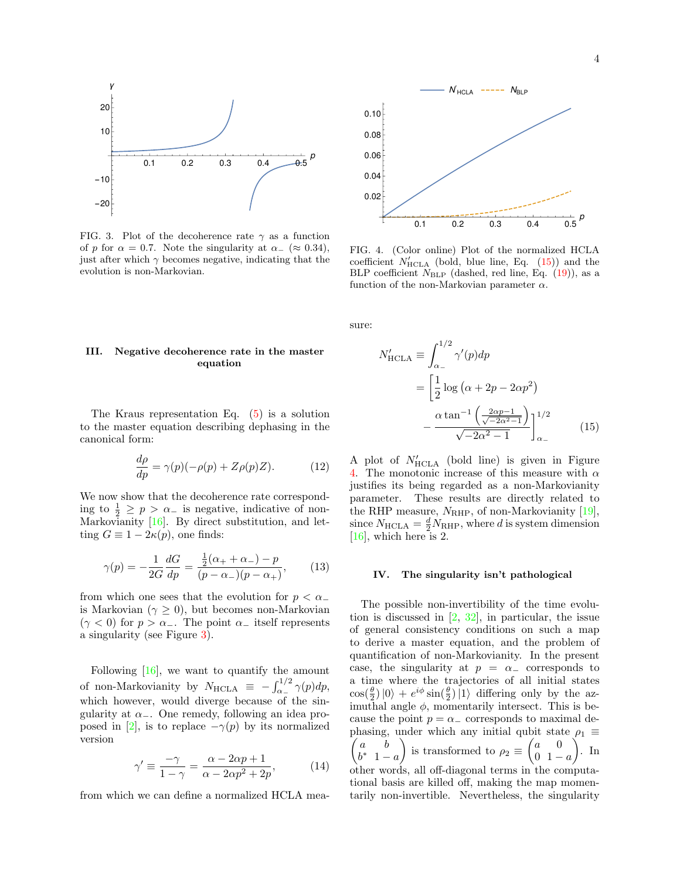

FIG. 3. Plot of the decoherence rate  $\gamma$  as a function of p for  $\alpha = 0.7$ . Note the singularity at  $\alpha = (\approx 0.34)$ , just after which  $\gamma$  becomes negative, indicating that the evolution is non-Markovian.

## III. Negative decoherence rate in the master equation

The Kraus representation Eq. (5) is a solution to the master equation describing dephasing in the canonical form:

$$
\frac{d\rho}{dp} = \gamma(p)(-\rho(p) + Z\rho(p)Z). \tag{12}
$$

We now show that the decoherence rate corresponding to  $\frac{1}{2} \ge p > \alpha_-$  is negative, indicative of non-Markovianity [16]. By direct substitution, and letting  $G \equiv 1 - 2\kappa(p)$ , one finds:

$$
\gamma(p) = -\frac{1}{2G} \frac{dG}{dp} = \frac{\frac{1}{2}(\alpha_+ + \alpha_-) - p}{(p - \alpha_-)(p - \alpha_+)},\tag{13}
$$

from which one sees that the evolution for  $p < \alpha_-$ is Markovian ( $\gamma \geq 0$ ), but becomes non-Markovian  $(\gamma < 0)$  for  $p > \alpha_-\$ . The point  $\alpha_-$  itself represents a singularity (see Figure 3).

Following [16], we want to quantify the amount of non-Markovianity by  $N_{\text{HCLA}} \equiv -\int_{\alpha_{-}}^{1/2} \gamma(p) dp$ , which however, would diverge because of the singularity at  $\alpha$ <sub>−</sub>. One remedy, following an idea proposed in [2], is to replace  $-\gamma(p)$  by its normalized version

$$
\gamma' \equiv \frac{-\gamma}{1-\gamma} = \frac{\alpha - 2\alpha p + 1}{\alpha - 2\alpha p^2 + 2p},\tag{14}
$$

from which we can define a normalized HCLA mea-



FIG. 4. (Color online) Plot of the normalized HCLA coefficient  $N'_{\text{HCLA}}$  (bold, blue line, Eq. (15)) and the BLP coefficient  $N_{BLP}$  (dashed, red line, Eq. (19)), as a function of the non-Markovian parameter  $\alpha$ .

sure:

$$
N'_{\text{HCLA}} \equiv \int_{\alpha_{-}}^{1/2} \gamma'(p) dp
$$
  
= 
$$
\left[ \frac{1}{2} \log \left( \alpha + 2p - 2\alpha p^{2} \right) - \frac{\alpha \tan^{-1} \left( \frac{2\alpha p - 1}{\sqrt{-2\alpha^{2} - 1}} \right)}{\sqrt{-2\alpha^{2} - 1}} \right]_{\alpha_{-}}^{1/2}
$$
(15)

A plot of  $N'_{\text{HCLA}}$  (bold line) is given in Figure 4. The monotonic increase of this measure with  $\alpha$ justifies its being regarded as a non-Markovianity parameter. These results are directly related to the RHP measure,  $N_{\text{RHP}}$ , of non-Markovianity [19], since  $N_{\text{HCLA}} = \frac{d}{2} N_{\text{RHP}}$ , where d is system dimension [16], which here is 2.

#### IV. The singularity isn't pathological

The possible non-invertibility of the time evolution is discussed in [2, 32], in particular, the issue of general consistency conditions on such a map to derive a master equation, and the problem of quantification of non-Markovianity. In the present case, the singularity at  $p = \alpha_{-}$  corresponds to a time where the trajectories of all initial states  $\cos(\frac{\theta}{2}) |0\rangle + e^{i\phi} \sin(\frac{\theta}{2}) |1\rangle$  differing only by the azimuthal angle  $\phi$ , momentarily intersect. This is because the point  $p = \alpha_{-}$  corresponds to maximal dephasing, under which any initial qubit state  $\rho_1 \equiv$  $\int a$  b  $b^*$  1 – a is transformed to  $\rho_2 \equiv \begin{pmatrix} a & 0 \\ 0 & 1 \end{pmatrix}$  $\frac{0}{1} - a$  $\big)$ . In other words, all off-diagonal terms in the computational basis are killed off, making the map momentarily non-invertible. Nevertheless, the singularity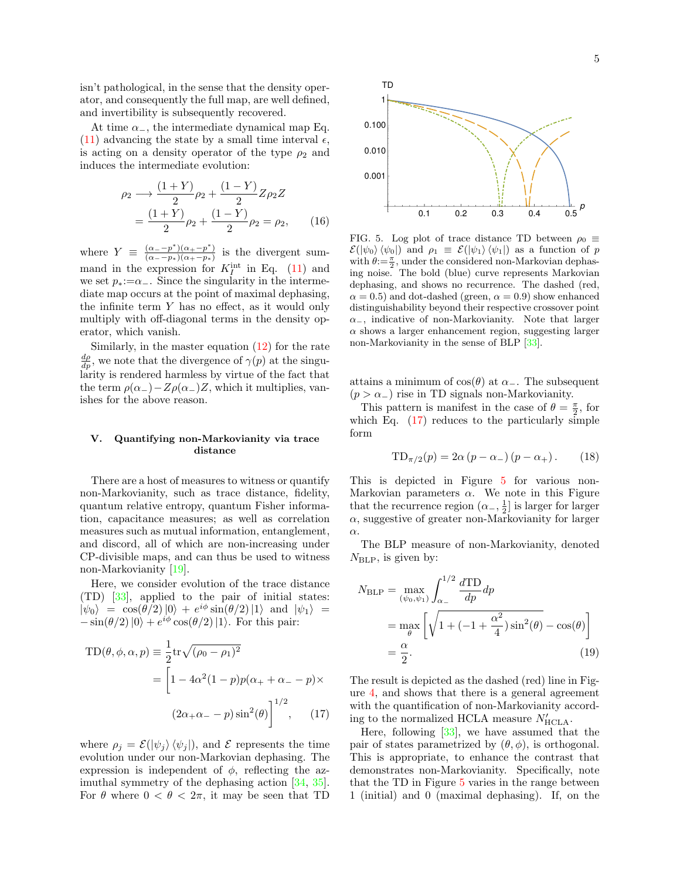isn't pathological, in the sense that the density operator, and consequently the full map, are well defined, and invertibility is subsequently recovered.

At time  $\alpha$ <sub>−</sub>, the intermediate dynamical map Eq. (11) advancing the state by a small time interval  $\epsilon$ , is acting on a density operator of the type  $\rho_2$  and induces the intermediate evolution:

$$
\rho_2 \longrightarrow \frac{(1+Y)}{2} \rho_2 + \frac{(1-Y)}{2} Z \rho_2 Z
$$
  
= 
$$
\frac{(1+Y)}{2} \rho_2 + \frac{(1-Y)}{2} \rho_2 = \rho_2,
$$
 (16)

where  $Y \equiv \frac{(\alpha_{-}-p^{*})(\alpha_{+}-p^{*})}{(\alpha_{-}-p_{*})(\alpha_{+}-p_{*})}$  $\frac{(\alpha_{-}-p)(\alpha_{+}-p)}{(\alpha_{-}-p_{*})(\alpha_{+}-p_{*})}$  is the divergent summand in the expression for  $K_I^{\text{int}}$  in Eq. (11) and we set  $p_*:=\alpha_-\$ . Since the singularity in the intermediate map occurs at the point of maximal dephasing, the infinite term Y has no effect, as it would only multiply with off-diagonal terms in the density operator, which vanish.

Similarly, in the master equation  $(12)$  for the rate  $\frac{d\rho}{dp}$ , we note that the divergence of  $\gamma(p)$  at the singularity is rendered harmless by virtue of the fact that the term  $\rho(\alpha_-) - Z \rho(\alpha_-) Z$ , which it multiplies, vanishes for the above reason.

## V. Quantifying non-Markovianity via trace distance

There are a host of measures to witness or quantify non-Markovianity, such as trace distance, fidelity, quantum relative entropy, quantum Fisher information, capacitance measures; as well as correlation measures such as mutual information, entanglement, and discord, all of which are non-increasing under CP-divisible maps, and can thus be used to witness non-Markovianity [19].

Here, we consider evolution of the trace distance (TD) [33], applied to the pair of initial states:  $|\psi_0\rangle = \cos(\theta/2)|0\rangle + e^{i\phi}\sin(\theta/2)|1\rangle$  and  $|\psi_1\rangle =$  $-\sin(\theta/2)|0\rangle + e^{i\phi}\cos(\theta/2)|1\rangle$ . For this pair:

$$
TD(\theta, \phi, \alpha, p) \equiv \frac{1}{2} \text{tr} \sqrt{(\rho_0 - \rho_1)^2}
$$

$$
= \left[ 1 - 4\alpha^2 (1 - p) p(\alpha_+ + \alpha_- - p) \times (2\alpha_+ \alpha_- - p) \sin^2(\theta) \right]^{1/2}, \qquad (17)
$$

where  $\rho_j = \mathcal{E}(|\psi_j\rangle \langle \psi_j|)$ , and  $\mathcal E$  represents the time evolution under our non-Markovian dephasing. The expression is independent of  $\phi$ , reflecting the azimuthal symmetry of the dephasing action [34, 35]. For  $\theta$  where  $0 < \theta < 2\pi$ , it may be seen that TD



FIG. 5. Log plot of trace distance TD between  $\rho_0 \equiv$  $\mathcal{E}(|\psi_0\rangle \langle \psi_0|)$  and  $\rho_1 \equiv \mathcal{E}(|\psi_1\rangle \langle \psi_1|)$  as a function of p with  $\theta:=\frac{\pi}{2}$ , under the considered non-Markovian dephasing noise. The bold (blue) curve represents Markovian dephasing, and shows no recurrence. The dashed (red,  $\alpha = 0.5$ ) and dot-dashed (green,  $\alpha = 0.9$ ) show enhanced distinguishability beyond their respective crossover point  $\alpha$ <sub>−</sub>, indicative of non-Markovianity. Note that larger  $\alpha$  shows a larger enhancement region, suggesting larger non-Markovianity in the sense of BLP [33].

attains a minimum of  $cos(\theta)$  at  $\alpha$ <sub>-</sub>. The subsequent  $(p > \alpha_+)$  rise in TD signals non-Markovianity.

This pattern is manifest in the case of  $\theta = \frac{\pi}{2}$ , for which Eq.  $(17)$  reduces to the particularly simple form

$$
TD_{\pi/2}(p) = 2\alpha (p - \alpha_{-}) (p - \alpha_{+}). \qquad (18)
$$

This is depicted in Figure 5 for various non-Markovian parameters  $\alpha$ . We note in this Figure that the recurrence region  $(\alpha_-, \frac{1}{2}]$  is larger for larger  $\alpha$ , suggestive of greater non-Markovianity for larger α.

The BLP measure of non-Markovianity, denoted  $N_{\rm BLP}$ , is given by:

$$
N_{\rm BLP} = \max_{(\psi_0, \psi_1)} \int_{\alpha_-}^{1/2} \frac{d \text{TD}}{dp} dp
$$
  
= 
$$
\max_{\theta} \left[ \sqrt{1 + (-1 + \frac{\alpha^2}{4}) \sin^2(\theta)} - \cos(\theta) \right]
$$
  
= 
$$
\frac{\alpha}{2}.
$$
 (19)

The result is depicted as the dashed (red) line in Figure 4, and shows that there is a general agreement with the quantification of non-Markovianity according to the normalized HCLA measure  $N'_{\text{HCLA}}$ .

Here, following  $[33]$ , we have assumed that the pair of states parametrized by  $(\theta, \phi)$ , is orthogonal. This is appropriate, to enhance the contrast that demonstrates non-Markovianity. Specifically, note that the TD in Figure 5 varies in the range between 1 (initial) and 0 (maximal dephasing). If, on the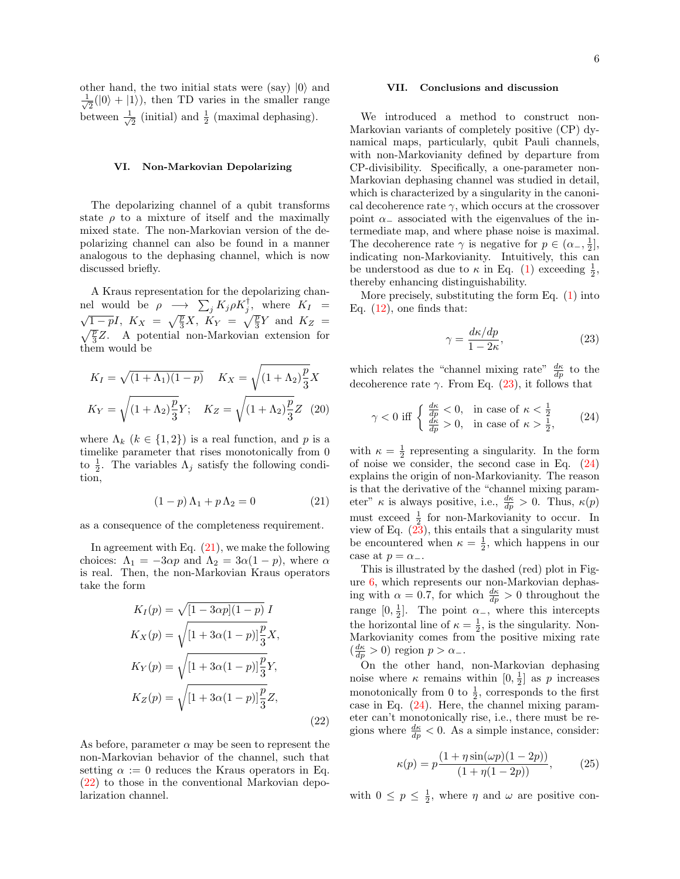other hand, the two initial stats were (say)  $|0\rangle$  and √ 1  $\overline{z}(0) + |1\rangle$ , then TD varies in the smaller range between  $\frac{1}{\sqrt{2}}$  $\frac{1}{2}$  (initial) and  $\frac{1}{2}$  (maximal dephasing).

## VI. Non-Markovian Depolarizing

The depolarizing channel of a qubit transforms state  $\rho$  to a mixture of itself and the maximally mixed state. The non-Markovian version of the depolarizing channel can also be found in a manner analogous to the dephasing channel, which is now discussed briefly.

A Kraus representation for the depolarizing channel would be  $\rho \rightarrow \sum_j K_j \rho K_j^{\dagger}$ , where  $K_I =$  $\sqrt{1-p}I$ ,  $K_X = \sqrt{\frac{p}{3}}X$ ,  $K_Y = \sqrt{\frac{p}{3}}Y$  and  $K_Z =$  $\sqrt{\frac{p}{3}}Z$ . A potential non-Markovian extension for them would be

$$
K_I = \sqrt{(1 + \Lambda_1)(1 - p)} \quad K_X = \sqrt{(1 + \Lambda_2)\frac{p}{3}}X
$$

$$
K_Y = \sqrt{(1 + \Lambda_2)\frac{p}{3}}Y; \quad K_Z = \sqrt{(1 + \Lambda_2)\frac{p}{3}}Z \quad (20)
$$

where  $\Lambda_k$   $(k \in \{1,2\})$  is a real function, and p is a timelike parameter that rises monotonically from 0 to  $\frac{1}{2}$ . The variables  $\Lambda_j$  satisfy the following condition,

$$
(1-p)\Lambda_1 + p\Lambda_2 = 0 \tag{21}
$$

as a consequence of the completeness requirement.

In agreement with Eq.  $(21)$ , we make the following choices:  $\Lambda_1 = -3\alpha p$  and  $\Lambda_2 = 3\alpha(1-p)$ , where  $\alpha$ is real. Then, the non-Markovian Kraus operators take the form

$$
K_{I}(p) = \sqrt{[1 - 3\alpha p](1 - p)} I
$$
  
\n
$$
K_{X}(p) = \sqrt{[1 + 3\alpha(1 - p)]\frac{p}{3}} X,
$$
  
\n
$$
K_{Y}(p) = \sqrt{[1 + 3\alpha(1 - p)]\frac{p}{3}} Y,
$$
  
\n
$$
K_{Z}(p) = \sqrt{[1 + 3\alpha(1 - p)]\frac{p}{3}} Z,
$$
\n(22)

As before, parameter  $\alpha$  may be seen to represent the non-Markovian behavior of the channel, such that setting  $\alpha := 0$  reduces the Kraus operators in Eq. (22) to those in the conventional Markovian depolarization channel.

## VII. Conclusions and discussion

We introduced a method to construct non-Markovian variants of completely positive (CP) dynamical maps, particularly, qubit Pauli channels, with non-Markovianity defined by departure from CP-divisibility. Specifically, a one-parameter non-Markovian dephasing channel was studied in detail, which is characterized by a singularity in the canonical decoherence rate  $\gamma$ , which occurs at the crossover point  $\alpha_-\$  associated with the eigenvalues of the intermediate map, and where phase noise is maximal. The decoherence rate  $\gamma$  is negative for  $p \in (\alpha_-, \frac{1}{2}],$ indicating non-Markovianity. Intuitively, this can be understood as due to  $\kappa$  in Eq. (1) exceeding  $\frac{1}{2}$ , thereby enhancing distinguishability.

More precisely, substituting the form Eq.  $(1)$  into Eq.  $(12)$ , one finds that:

$$
\gamma = \frac{d\kappa/dp}{1 - 2\kappa},\tag{23}
$$

which relates the "channel mixing rate"  $\frac{d\kappa}{dp}$  to the decoherence rate  $\gamma$ . From Eq. (23), it follows that

$$
\gamma < 0 \text{ iff } \begin{cases} \frac{d\kappa}{dp} < 0, \quad \text{in case of } \kappa < \frac{1}{2} \\ \frac{d\kappa}{dp} > 0, \quad \text{in case of } \kappa > \frac{1}{2}, \end{cases} \tag{24}
$$

with  $\kappa = \frac{1}{2}$  representing a singularity. In the form of noise we consider, the second case in Eq. (24) explains the origin of non-Markovianity. The reason is that the derivative of the "channel mixing parameter"  $\kappa$  is always positive, i.e.,  $\frac{d\kappa}{dp} > 0$ . Thus,  $\kappa(p)$ must exceed  $\frac{1}{2}$  for non-Markovianity to occur. In view of Eq.  $(23)$ , this entails that a singularity must be encountered when  $\kappa = \frac{1}{2}$ , which happens in our case at  $p = \alpha_-.$ 

This is illustrated by the dashed (red) plot in Figure 6, which represents our non-Markovian dephasing with  $\alpha = 0.7$ , for which  $\frac{d\kappa}{dp} > 0$  throughout the range  $[0, \frac{1}{2}]$ . The point  $\alpha$ <sub>-</sub>, where this intercepts the horizontal line of  $\kappa = \frac{1}{2}$ , is the singularity. Non-Markovianity comes from the positive mixing rate  $\left(\frac{d\kappa}{dp} > 0\right)$  region  $p > \alpha_{-}$ .

On the other hand, non-Markovian dephasing noise where  $\kappa$  remains within  $[0, \frac{1}{2}]$  as p increases monotonically from 0 to  $\frac{1}{2}$ , corresponds to the first case in Eq. (24). Here, the channel mixing parameter can't monotonically rise, i.e., there must be regions where  $\frac{d\kappa}{dp} < 0$ . As a simple instance, consider:

$$
\kappa(p) = p \frac{(1 + \eta \sin(\omega p)(1 - 2p))}{(1 + \eta(1 - 2p))},
$$
\n(25)

with  $0 \leq p \leq \frac{1}{2}$ , where  $\eta$  and  $\omega$  are positive con-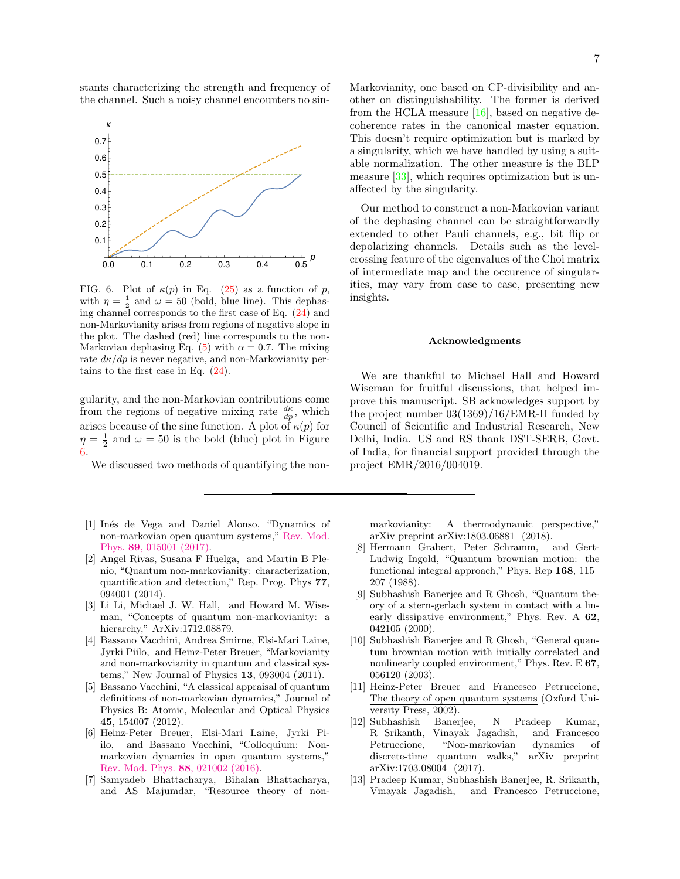stants characterizing the strength and frequency of the channel. Such a noisy channel encounters no sin-



FIG. 6. Plot of  $\kappa(p)$  in Eq. (25) as a function of p, with  $\eta = \frac{1}{2}$  and  $\omega = 50$  (bold, blue line). This dephasing channel corresponds to the first case of Eq. (24) and non-Markovianity arises from regions of negative slope in the plot. The dashed (red) line corresponds to the non-Markovian dephasing Eq. (5) with  $\alpha = 0.7$ . The mixing rate  $d\kappa/dp$  is never negative, and non-Markovianity pertains to the first case in Eq. (24).

gularity, and the non-Markovian contributions come from the regions of negative mixing rate  $\frac{d\kappa}{dp}$ , which arises because of the sine function. A plot of  $\kappa(p)$  for  $\eta = \frac{1}{2}$  and  $\omega = 50$  is the bold (blue) plot in Figure 6.

We discussed two methods of quantifying the non-

- [1] In´es de Vega and Daniel Alonso, "Dynamics of non-markovian open quantum systems," Rev. Mod. Phys. 89, 015001 (2017).
- [2] Angel Rivas, Susana F Huelga, and Martin B Plenio, "Quantum non-markovianity: characterization, quantification and detection," Rep. Prog. Phys 77, 094001 (2014).
- [3] Li Li, Michael J. W. Hall, and Howard M. Wiseman, "Concepts of quantum non-markovianity: a hierarchy," ArXiv:1712.08879.
- [4] Bassano Vacchini, Andrea Smirne, Elsi-Mari Laine, Jyrki Piilo, and Heinz-Peter Breuer, "Markovianity and non-markovianity in quantum and classical systems," New Journal of Physics 13, 093004 (2011).
- [5] Bassano Vacchini, "A classical appraisal of quantum definitions of non-markovian dynamics," Journal of Physics B: Atomic, Molecular and Optical Physics 45, 154007 (2012).
- [6] Heinz-Peter Breuer, Elsi-Mari Laine, Jyrki Piilo, and Bassano Vacchini, "Colloquium: Nonmarkovian dynamics in open quantum systems," Rev. Mod. Phys. 88, 021002 (2016).
- [7] Samyadeb Bhattacharya, Bihalan Bhattacharya, and AS Majumdar, "Resource theory of non-

Markovianity, one based on CP-divisibility and another on distinguishability. The former is derived from the HCLA measure  $[16]$ , based on negative decoherence rates in the canonical master equation. This doesn't require optimization but is marked by a singularity, which we have handled by using a suitable normalization. The other measure is the BLP measure [33], which requires optimization but is unaffected by the singularity.

Our method to construct a non-Markovian variant of the dephasing channel can be straightforwardly extended to other Pauli channels, e.g., bit flip or depolarizing channels. Details such as the levelcrossing feature of the eigenvalues of the Choi matrix of intermediate map and the occurence of singularities, may vary from case to case, presenting new insights.

## Acknowledgments

We are thankful to Michael Hall and Howard Wiseman for fruitful discussions, that helped improve this manuscript. SB acknowledges support by the project number 03(1369)/16/EMR-II funded by Council of Scientific and Industrial Research, New Delhi, India. US and RS thank DST-SERB, Govt. of India, for financial support provided through the project EMR/2016/004019.

markovianity: A thermodynamic perspective," arXiv preprint arXiv:1803.06881 (2018).

- [8] Hermann Grabert, Peter Schramm, and Gert-Ludwig Ingold, "Quantum brownian motion: the functional integral approach," Phys. Rep 168, 115– 207 (1988).
- [9] Subhashish Banerjee and R Ghosh, "Quantum theory of a stern-gerlach system in contact with a linearly dissipative environment," Phys. Rev. A 62, 042105 (2000).
- [10] Subhashish Banerjee and R Ghosh, "General quantum brownian motion with initially correlated and nonlinearly coupled environment," Phys. Rev. E 67, 056120 (2003).
- [11] Heinz-Peter Breuer and Francesco Petruccione, The theory of open quantum systems (Oxford University Press, 2002).
- [12] Subhashish Banerjee, N Pradeep Kumar, R Srikanth, Vinayak Jagadish, and Francesco Petruccione, "Non-markovian dynamics of discrete-time quantum walks," arXiv preprint arXiv:1703.08004 (2017).
- [13] Pradeep Kumar, Subhashish Banerjee, R. Srikanth, Vinayak Jagadish, and Francesco Petruccione,